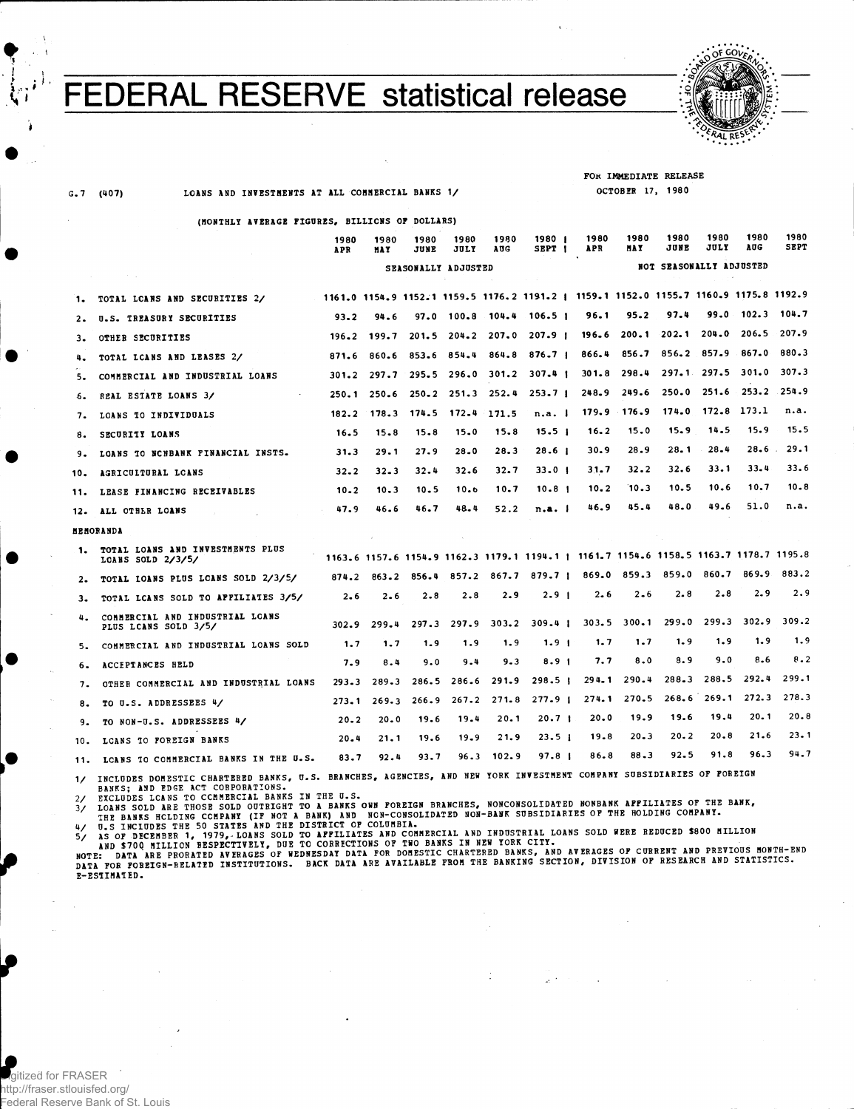## FEDERAL RESERVE statistical release



. I

G.7 (407) LOANS AND INVESTMENTS AT ALL COMMERCIAL BANKS 1/

(MONTHLY AVERAGE FIGURES, BILLIONS OF DOLLARS)

FOR IMMEDIATE RELEASE OCTOBER 17, 198 0

|     |                                                         | 1980<br>APR         | 1980<br><b>MAY</b> | 1980<br>JUNE | 1980<br>JULY    | 1980<br>AUG     | 1980  <br>SEPT <sub>I</sub>                                                           |  | 1980<br>APR | 1980<br><b>HAY</b> | 1980<br>JUNE            | 1980<br><b>JULY</b> | 1980<br>AUG     | 1980<br>SEPT |
|-----|---------------------------------------------------------|---------------------|--------------------|--------------|-----------------|-----------------|---------------------------------------------------------------------------------------|--|-------------|--------------------|-------------------------|---------------------|-----------------|--------------|
|     | contact the control of the ac-                          | SEASONALLY ADJUSTED |                    |              |                 |                 |                                                                                       |  |             |                    | NOT SEASONALLY ADJUSTED |                     |                 |              |
| 1.  | TOTAL LCANS AND SECURITIES 2/                           |                     |                    |              |                 |                 | 1161.0 1154.9 1152.1 1159.5 1176.2 1191.2   1159.1 1152.0 1155.7 1160.9 1175.8 1192.9 |  |             |                    |                         |                     |                 |              |
| 2.  | U.S. IREASURY SECURITIES                                | 93.2                | 94.6               |              |                 |                 | $97.0$ 100.8 104.4 106.5 1                                                            |  | 96.1        | 95.2               | 97.4                    | 99.0                | 102.3           | 104.7        |
| з.  | OTHER SECURITIES                                        | 196.2               | 199.7              | $201 - 5$    |                 | $204.2$ $207.0$ | 207.9 <sub>1</sub>                                                                    |  | 196.6       | 200.1              | 202.1                   | 204.0               | 206.5           | 207.9        |
| 4.  | TOTAL LCANS AND LEASES 2/                               | 871.6               | 860.6              | 853.6        | 854.4           | 864.8           | 876.7                                                                                 |  | 866.4       | 856.7              |                         | 856.2 857.9 867.0   |                 | 880.3        |
| 5.  | COMMERCIAL AND INDUSTRIAL LOANS                         | $301 - 2$           | 297.7              |              | $295.5$ $296.0$ |                 | 301.2 307.4 1                                                                         |  | 301.8       | 298.4              |                         | $297 - 1$ 297.5     | 301.0           | 307.3        |
| 6.  | REAL ESTATE LOANS 3/                                    | 250.1               | 250.6              | $250 - 2$    |                 | $251.3$ $252.4$ | 253.7 <sub>1</sub>                                                                    |  | 248.9       | 249.6              | 250.0                   |                     | $251.6$ $253.2$ | .254.9       |
| 7.  | LOANS TO INDIVIDUALS                                    | 182.2               | 178.3              | 174.5        | 172.4           | 171.5           | n.a. I                                                                                |  |             | $179.9$ $176.9$    | 174.0                   | 172.8               | 173.1           | n.a.         |
| 8.  | SECURITY LOANS                                          | 16.5                | 15.8               | 15.8         | 15.0            | 15.8            | 15.5 <sub>1</sub>                                                                     |  | $16 - 2$    | 15.0               | 15.9                    | 14.5                | 15.9            | 15.5         |
| 9.  | LOANS TO NCNBANK FINANCIAL INSTS.                       | 31.3                | 29.1               | 27.9         | 28.0            | 28.3            | 28.6 <sub>1</sub>                                                                     |  | 30.9        | 28.9               | 28.1                    | $28 - 4$            | 28.6            | 29.1         |
| 10. | AGRICULTURAL LCANS                                      | 32.2                | $32 - 3$           | 32.4         | 32.6            | 32.7            | 33.0 I                                                                                |  | 31.7        | 32.2               | 32.6                    | 33.1                | 33.4            | 33.6         |
| 11. | LEASE FINANCING RECEIVABLES                             | $10 - 2$            | 10.3               | 10.5         | 10.6            | 10.7            | 10.8 <sub>1</sub>                                                                     |  | 10.2        | 10.3               | 10.5                    | 10.6                | 10.7            | $10 - 8$     |
| 12. | ALL OTHER LOANS                                         | 47.9<br>$\sim$      | 46.6               | 46.7         | 48.4            | 52.2            | n.a. I                                                                                |  | 46.9        | 45.4               | 48.0                    | 49.6                | 51.0            | n.a.         |
|     | <b>HEMORANDA</b>                                        |                     |                    |              |                 |                 |                                                                                       |  |             |                    |                         |                     |                 |              |
| 1.  | TOTAL LOANS AND INVESTMENTS PLUS<br>LCANS SOLD $2/3/5/$ |                     |                    |              |                 |                 | 1163.6 1157.6 1154.9 1162.3 1179.1 1194.1   1161.7 1154.6 1158.5 1163.7 1178.7 1195.8 |  |             |                    |                         |                     |                 |              |
| 2.  | TOTAL IOANS PLUS LCANS SOLD 2/3/5/                      | 874.2               | 863.2              | 856.4        | 857.2           |                 | $867.7$ $879.7$                                                                       |  |             | 869.0 859.3        | 859.0                   | 860.7               | 869.9           | 883.2        |
| з.  | TOTAL LCANS SOLD TO APPILIATES 3/5/                     | 2.6                 | $2 - 6$            | 2.8          | 2.8             | 2.9             | 2.9 <sub>1</sub>                                                                      |  | 2.6         | $2 - 6$            | 2.8                     | 2.8                 | 2.9             | 2.9          |
| 4.  | COMMERCIAL AND INDUSTRIAL LOANS<br>PLUS LCANS SOLD 3/5/ | 302.9               | 299.4              | 297.3        | 297.9           | 303.2           | $309 - 41$                                                                            |  |             | $303.5$ $300.1$    | 299.0                   | 299.3               | 302.9           | 309.2        |
| 5.  | COMMERCIAL AND INDUSTRIAL LOANS SOLD                    | 1.7                 | 1.7                | 1.9          | 1.9             | 1.9             | 1.9 <sub>1</sub>                                                                      |  | 1.7         | 1.7                | 1.9                     | 1.9                 | 1.9             | 1.9          |
| 6.  | <b>ACCEPTANCES HELD</b>                                 | 7.9                 | 8.4                | 9.0          | 9.4             | 9.3             | 8.9 <sub>1</sub>                                                                      |  | 7.7         | 8.0                | 8.9                     | 9.0                 | 8.6             | 8.2          |
| 7.  | OTHER COMMERCIAL AND INDUSTRIAL LOANS                   | $293 - 3$           | 289.3              | 286.5        | 286.6           | 291.9           | 298.5 <sub>1</sub>                                                                    |  | $294 - 1$   | 290.4              | $288 - 3$               | 288.5               | 292.4           | 299.1        |
| 8.  | TO U.S. ADDRESSEES 4/                                   | 273.1               | 269.3              | 266.9        | 267.2           | 271.8           | 277.9 <sub>1</sub>                                                                    |  | 274.1       | 270.5              |                         | $268.6$ $269.1$     | 272.3           | 278.3        |
| 9.  | TO NON-U.S. ADDRESSEES 4/                               | $20 - 2$            | 20.0               | 19.6         | 19.4            | 20.1            | 20.7 I                                                                                |  | 20.0        | 19.9               | 19.6                    | 19.4                | 20.1            | 20.8         |
|     | 10. LCANS TO FOREIGN BANKS                              | 20.4                | 21.1               | 19.6         | 19.9            | 21.9            | 23.5 <sub>1</sub>                                                                     |  | 19.8        | $20 - 3$           | $20 - 2$                | 20.8                | 21.6            | $23 - 1$     |
|     |                                                         |                     |                    |              |                 |                 |                                                                                       |  |             |                    |                         |                     |                 |              |

11. LCANS TO COMMERCIAL BANKS IN THE U.S. 83.7 92.4 93.7 96.3 102.9 97.8 | 86.8 88.3 92.5 91.8 96.3 94.7

1/ INCLUDES DOMESTIC CHARTERED BANKS, U.S. BRANCHES, AGENCIES, AND NEW YORK INVESTMENT COMPANY SUBSIDIARIES OF FOREIGR<br>BANKS; AND EDGE ACT CORPORATIONS.<br>2/ EXCLUDES LCANS TO CCMMERCIAL BANKS IN THE U.S.<br>3/ LOANS SOLD ARE T INCLUDES DOMESTIC CHARTERED BANKS, U.S. BRANCHES, AGENCIES, AND NEW YORK INVESTMENT COMPANY SUBSIDIARIES OF FOREIGN

", ON DECEMBER 1, 1979, LOANS SOLD TO AFFILIATES AND COMMERCIAL AND INDUSTRIAL LOANS SOLD WERE REDUCED \$800 MILLION

E-ES1IMATED.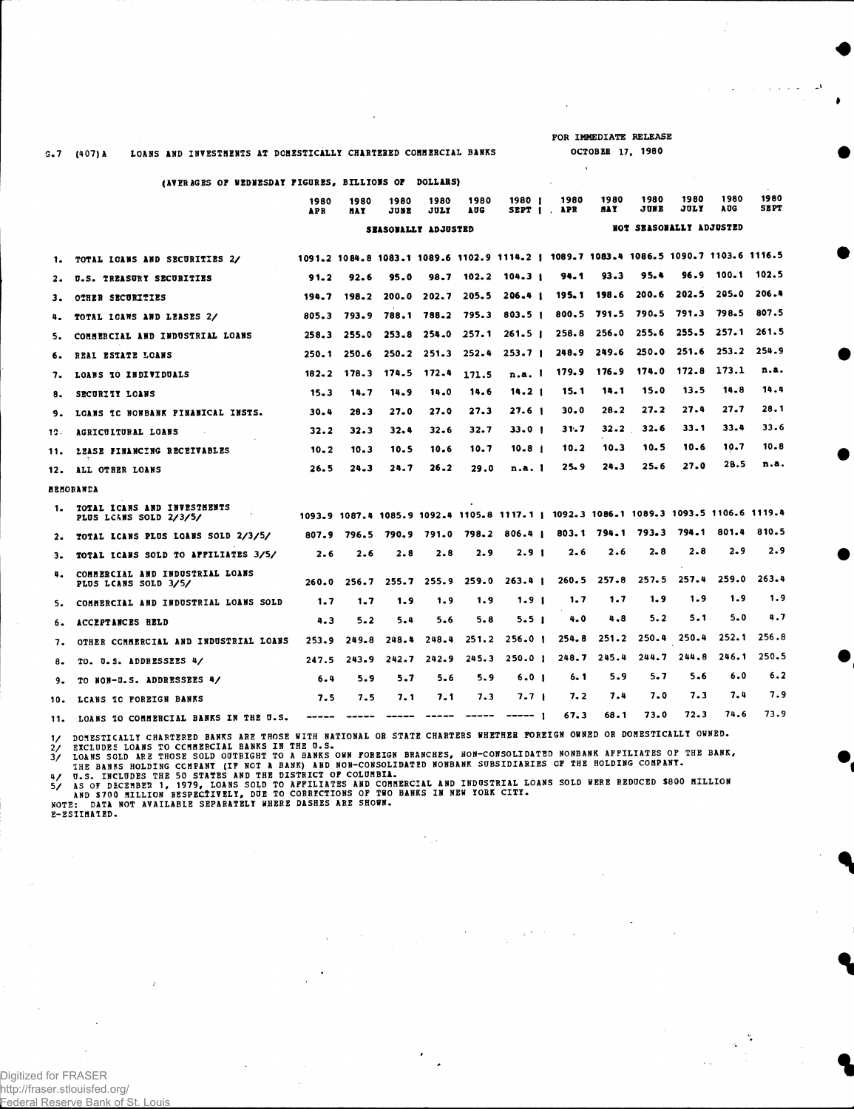FOR IMMEDIATE RELEASE OCTOBER 17, 1980

÷.

 $\ddot{\phantom{a}}$ 

## 5 . 7 (407) A LOANS AND INVESTMENTS AT DOMESTICALLY CHARTERED COMMERCIAL BANKS

(AVERAGES OF WEDNESDAY FIGURES, BILLIONS OF DOLLARS)

|       |                                                                    | 1980<br><b>APR</b>  | 1980<br><b>MAY</b>      | 1980<br>JUNE | 1980<br>JULY            | 1980<br>1 Q C | 1980 I<br>SEPT I                                                                      | 1980<br>APR | 1980<br>HA Y      | 1980<br>JUNE        | 1980<br>JULY            | 1980<br>A UG | 1980<br><b>SEPT</b> |
|-------|--------------------------------------------------------------------|---------------------|-------------------------|--------------|-------------------------|---------------|---------------------------------------------------------------------------------------|-------------|-------------------|---------------------|-------------------------|--------------|---------------------|
|       |                                                                    | SEASONALLY ADJUSTED | NOT SEASONALLY ADJUSTED |              |                         |               |                                                                                       |             |                   |                     |                         |              |                     |
| 1.    | TOTAL IGANS AND SECURITIES 2/                                      |                     |                         |              |                         |               | 1091.2 1084.8 1083.1 1089.6 1102.9 1114.2   1089.7 1083.4 1086.5 1090.7 1103.6 1116.5 |             |                   |                     |                         |              |                     |
| $2 -$ | U.S. TREASURY SECURITIES                                           | 91.2                | 92.6                    | 95.0         |                         |               | $98.7$ 102.2 104.3 i                                                                  | 94.1        | 93.3              | 95.4                | 96.9                    | 100.1 102.5  |                     |
| з.    | OTHER SECURITIES                                                   |                     | 194.7 198.2             |              |                         |               | 200.0 202.7 205.5 206.4 1                                                             |             | 195.1 198.6       | 200.6               | 202.5                   | 205.0        | 206.4               |
| 4.    | TOTAL ICANS AND LEASES 2/                                          |                     | 805.3 793.9             |              |                         |               | 788.1 788.2 795.3 803.5                                                               |             |                   |                     | 800.5 791.5 790.5 791.3 | 798.5        | 807.5               |
| 5.    | COMMERCIAL AND INDUSTRIAL LOANS                                    | 258.3               | 255.0                   |              | $253.8$ $254.0$ $257.1$ |               | 261.5 <sub>1</sub>                                                                    |             | 258.8 256.0 255.6 |                     | 255.5                   | 257.1        | 261.5               |
| 6.    | REAL ESTATE LOANS                                                  | 250.1               | 250.6                   |              |                         |               | $250.2$ $251.3$ $252.4$ $253.7$                                                       |             | 248.9 249.6       | 250.0               | 251.6                   | 253.2        | 254.9               |
| 7.    | LOANS TO INDIVIDUALS                                               | 182.2               | 178.3                   | 174.5        | 172.4                   | 171.5         | n.a. I                                                                                | 179.9       | $176 - 9$         | 174.0               | 172.8                   | - 173.1      | n.a.                |
| 8.    | SECURITY LOANS                                                     | 15.3                | 14.7                    | 14.9         | 14.0                    | 14.6          | 14.2 <sub>1</sub>                                                                     | 15.1        | 14.1              | 15.0                | 13.5                    | 14.8         | 14.4                |
|       | 9. LOANS IC NONBANK PINANICAL INSTS.                               | 30.4                | 28.3                    | 27.0         | 27.0                    | 27.3          | 27.6 <sub>1</sub>                                                                     | 30.0        | $28 - 2$          | 27.2                | 27.4                    | 27.7         | 28.1                |
| 12.   | <b>AGRICULTURAL LOANS</b>                                          | 32.2                | 32.3                    | 32.4         | 32.6                    | 32.7          | 33.0 <sub>1</sub>                                                                     | 31.7        | 32.2              | 32.6                | 33.1                    | 33.4         | 33.6                |
| 11.   | LEASE FINANCING RECEIVABLES                                        | $10 - 2$            | 10.3                    | 10.5         | 10.6                    | 10.7          | $10 - 8$ $\pm$                                                                        | 10.2        | 10.3              | 10.5                | 10.6                    | 10.7         | 10.8                |
|       | 12. ALL OTHER LOANS                                                | 26.5                | 24.3                    | 24.7         | $26 - 2$                | 29.0          | n.a.1                                                                                 | 25.9        | 24.3              | 25.6                | 27.0                    | 28.5         | n.a.                |
|       | <b>ARMORANCA</b>                                                   |                     |                         |              |                         |               |                                                                                       |             |                   |                     |                         |              |                     |
| 1.    | TOTAL ICANS AND INVESTHENTS<br>All Corp.<br>PLUS LCANS SOLD 2/3/5/ |                     |                         |              |                         |               | 1093.9 1087.4 1085.9 1092.4 1105.8 1117.1   1092.3 1086.1 1089.3 1093.5 1106.6 1119.4 |             |                   |                     |                         |              |                     |
| $2 -$ | TOTAL LCANS PLUS LOANS SOLD 2/3/5/                                 |                     | 807.9 796.5             | 790.9        | 791.0                   |               | 798.2 806.4                                                                           | 803.1       |                   | $794 - 1$ $793 - 3$ | 794.1                   | 801.4        | 810.5               |
| з.    | TOTAL ICANS SOLD TO AFFILIATES 3/5/                                | 2.6                 | 2.6                     | 2.8          | 2.8                     | 2.9           | 2.9 <sub>1</sub>                                                                      | 2.6         | 2.6               | 2.8                 | 2.8                     | 2.9          | 2.9                 |
|       | COMMERCIAL AND INDUSTRIAL LOANS<br>PLUS LCANS SOLD 3/5/            | 260.0               | 256.7                   |              |                         |               | $255.7$ $255.9$ $259.0$ $263.4$                                                       |             | $260.5$ $257.8$   | 257.5               | 257.4                   | 259.0        | 263.4               |
| 5.    | COMMERCIAL AND INDUSTRIAL LOANS SOLD                               | 1.7                 | $1 - 7$                 | 1.9          | 1.9                     | 1.9           | 1.9 <sub>1</sub>                                                                      | 1.7         | 1.7               | 1.9                 | 1.9                     | 1.9          | 1.9                 |
| б.    | ACCEPTANCES HELD                                                   | 4.3                 | $5 - 2$                 | 5.4          | 5.6                     | 5.8           | 5.5 <sub>1</sub>                                                                      | 4.0         | 4.8               | 5.2                 | 5.1.                    | 5.0          | 4.7                 |
| 7.    | OTHER COMMERCIAL AND INDUSTRIAL LOANS                              | 253.9               | 249.8                   | 248.4        | 248.4                   | 251.2         | 256.0 1                                                                               | 254.8       |                   |                     | 251.2 250.4 250.4       | 252.1        | 256.8               |
| 8.    | TO. U.S. ADDRESSEES 4/                                             | 247.5               | 243.9                   | 242.7        | 242.9                   | 245.3         | 250.01                                                                                | 248.7       | 245.4             | 244.7               | 244.8                   | 246.1        | 250.5               |
| 9.    | TO NON-U.S. ADDRESSEES 4/                                          | $6 - 4$             | 5.9                     | 5.7          | $5 - 6$                 | 5.9           | 6.0 <sub>1</sub>                                                                      | 6. 1        | 5.9               | 5.7                 | 5.6                     | 6.0          | 6.2                 |
|       | 10. LCANS IC FOREIGN BANKS                                         | 7.5                 | 7.5                     | 7.1          | 7.1                     | 7.3           | 7.7 1                                                                                 | 7.2         | 7.4               | 7.0                 | 7.3                     | 7.4          | 7.9                 |
|       | 11. LOANS TO COMMERCIAL BANKS IN THE U.S.                          | $\cdots$            | $\cdots\cdots\cdots$    | ------       | -----                   |               | ----- 1                                                                               | 67.3        | 68.1              | 73.0                | 72.3                    | 74.6         | 73.9                |

1/ DOMESTICALLY CHARTERED BANKS ARE THOSE WITH NATIONAL OR STATE CHARTERS WHETHER POREIGN OWNED OR DOMESTICALLY OWNED.<br>2/ EXCLUDES LOANS TO CCMMERCIAL BANKS IN THE U.S.<br>3/ LOANS SOLD ARE THOSE SOLD OUTRIGHT TO A BANK, AND

 $\epsilon_{\rm{tot}}$